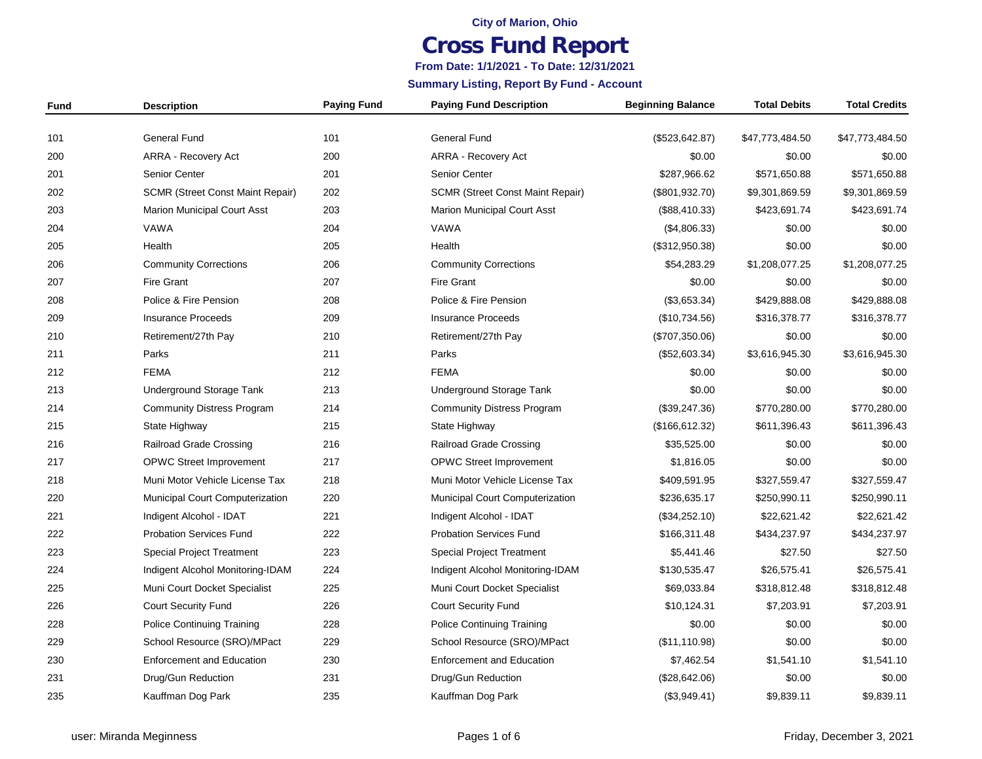#### **City of Marion, Ohio**

# **Cross Fund Report**

### **From Date: 1/1/2021 - To Date: 12/31/2021**

**Summary Listing, Report By Fund - Account**

| Fund | <b>Description</b>                      | <b>Paying Fund</b> | <b>Paying Fund Description</b>          | <b>Beginning Balance</b> | <b>Total Debits</b> | <b>Total Credits</b> |
|------|-----------------------------------------|--------------------|-----------------------------------------|--------------------------|---------------------|----------------------|
| 101  | <b>General Fund</b>                     | 101                | <b>General Fund</b>                     | (\$523, 642.87)          | \$47,773,484.50     | \$47,773,484.50      |
| 200  | <b>ARRA - Recovery Act</b>              | 200                | <b>ARRA - Recovery Act</b>              | \$0.00                   | \$0.00              | \$0.00               |
| 201  | Senior Center                           | 201                | Senior Center                           | \$287,966.62             | \$571,650.88        | \$571,650.88         |
| 202  | <b>SCMR (Street Const Maint Repair)</b> | 202                | <b>SCMR (Street Const Maint Repair)</b> | (\$801, 932.70)          | \$9,301,869.59      | \$9,301,869.59       |
| 203  | <b>Marion Municipal Court Asst</b>      | 203                | <b>Marion Municipal Court Asst</b>      | (\$88,410.33)            | \$423,691.74        | \$423,691.74         |
| 204  | VAWA                                    | 204                | VAWA                                    | (\$4,806.33)             | \$0.00              | \$0.00               |
| 205  | Health                                  | 205                | Health                                  | (\$312,950.38)           | \$0.00              | \$0.00               |
| 206  | <b>Community Corrections</b>            | 206                | <b>Community Corrections</b>            | \$54,283.29              | \$1,208,077.25      | \$1,208,077.25       |
| 207  | <b>Fire Grant</b>                       | 207                | <b>Fire Grant</b>                       | \$0.00                   | \$0.00              | \$0.00               |
| 208  | Police & Fire Pension                   | 208                | Police & Fire Pension                   | (\$3,653.34)             | \$429,888.08        | \$429,888.08         |
| 209  | <b>Insurance Proceeds</b>               | 209                | <b>Insurance Proceeds</b>               | (\$10,734.56)            | \$316,378.77        | \$316,378.77         |
| 210  | Retirement/27th Pay                     | 210                | Retirement/27th Pay                     | (\$707,350.06)           | \$0.00              | \$0.00               |
| 211  | Parks                                   | 211                | Parks                                   | (\$52,603.34)            | \$3,616,945.30      | \$3,616,945.30       |
| 212  | <b>FEMA</b>                             | 212                | <b>FEMA</b>                             | \$0.00                   | \$0.00              | \$0.00               |
| 213  | Underground Storage Tank                | 213                | <b>Underground Storage Tank</b>         | \$0.00                   | \$0.00              | \$0.00               |
| 214  | <b>Community Distress Program</b>       | 214                | <b>Community Distress Program</b>       | (\$39,247.36)            | \$770,280.00        | \$770,280.00         |
| 215  | State Highway                           | 215                | State Highway                           | (\$166, 612.32)          | \$611,396.43        | \$611,396.43         |
| 216  | Railroad Grade Crossing                 | 216                | Railroad Grade Crossing                 | \$35,525.00              | \$0.00              | \$0.00               |
| 217  | <b>OPWC Street Improvement</b>          | 217                | <b>OPWC Street Improvement</b>          | \$1,816.05               | \$0.00              | \$0.00               |
| 218  | Muni Motor Vehicle License Tax          | 218                | Muni Motor Vehicle License Tax          | \$409,591.95             | \$327,559.47        | \$327,559.47         |
| 220  | Municipal Court Computerization         | 220                | Municipal Court Computerization         | \$236,635.17             | \$250,990.11        | \$250,990.11         |
| 221  | Indigent Alcohol - IDAT                 | 221                | Indigent Alcohol - IDAT                 | (\$34,252.10)            | \$22,621.42         | \$22,621.42          |
| 222  | <b>Probation Services Fund</b>          | 222                | <b>Probation Services Fund</b>          | \$166,311.48             | \$434,237.97        | \$434,237.97         |
| 223  | <b>Special Project Treatment</b>        | 223                | <b>Special Project Treatment</b>        | \$5,441.46               | \$27.50             | \$27.50              |
| 224  | Indigent Alcohol Monitoring-IDAM        | 224                | Indigent Alcohol Monitoring-IDAM        | \$130,535.47             | \$26,575.41         | \$26,575.41          |
| 225  | Muni Court Docket Specialist            | 225                | Muni Court Docket Specialist            | \$69,033.84              | \$318,812.48        | \$318,812.48         |
| 226  | <b>Court Security Fund</b>              | 226                | Court Security Fund                     | \$10,124.31              | \$7,203.91          | \$7,203.91           |
| 228  | <b>Police Continuing Training</b>       | 228                | <b>Police Continuing Training</b>       | \$0.00                   | \$0.00              | \$0.00               |
| 229  | School Resource (SRO)/MPact             | 229                | School Resource (SRO)/MPact             | (\$11, 110.98)           | \$0.00              | \$0.00               |
| 230  | <b>Enforcement and Education</b>        | 230                | <b>Enforcement and Education</b>        | \$7,462.54               | \$1,541.10          | \$1,541.10           |
| 231  | Drug/Gun Reduction                      | 231                | Drug/Gun Reduction                      | (\$28,642.06)            | \$0.00              | \$0.00               |
| 235  | Kauffman Dog Park                       | 235                | Kauffman Dog Park                       | (\$3,949.41)             | \$9,839.11          | \$9,839.11           |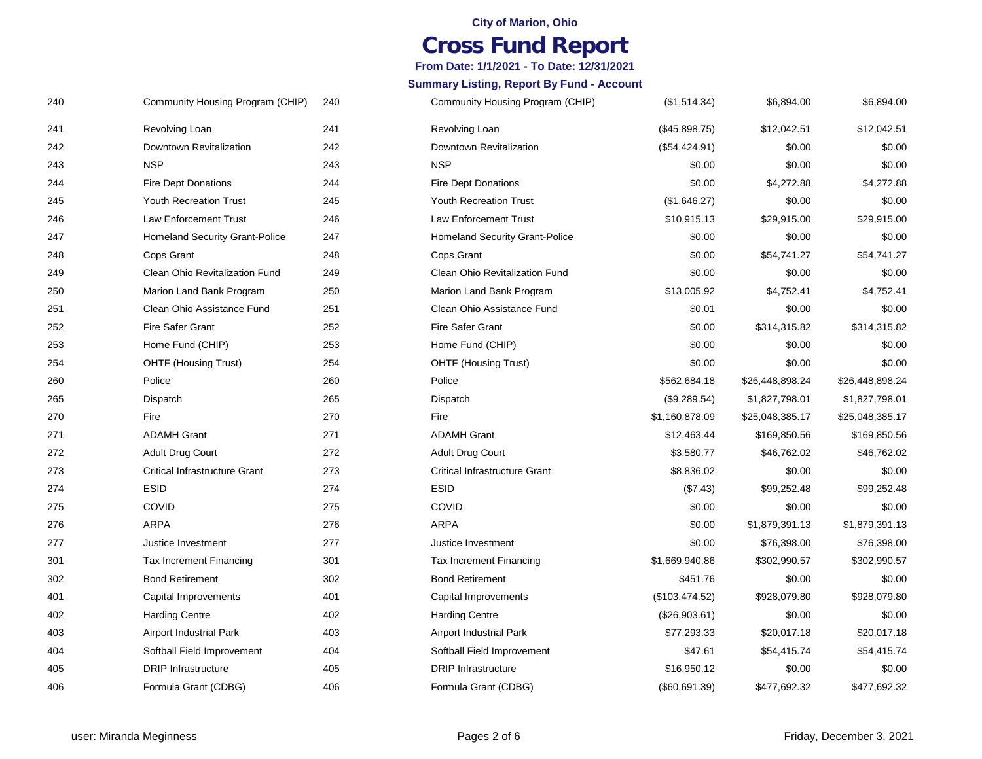#### **City of Marion, Ohio**

## **Cross Fund Report**

### **From Date: 1/1/2021 - To Date: 12/31/2021**

#### **Summary Listing, Report By Fund - Account**

| 240 | Community Housing Program (CHIP)      | (\$1,514.34)   | \$6,894.00      | \$6,894.00      |
|-----|---------------------------------------|----------------|-----------------|-----------------|
| 241 | Revolving Loan                        | (\$45,898.75)  | \$12,042.51     | \$12,042.51     |
| 242 | Downtown Revitalization               | (\$54,424.91)  | \$0.00          | \$0.00          |
| 243 | <b>NSP</b>                            | \$0.00         | \$0.00          | \$0.00          |
| 244 | <b>Fire Dept Donations</b>            | \$0.00         | \$4,272.88      | \$4,272.88      |
| 245 | <b>Youth Recreation Trust</b>         | (\$1,646.27)   | \$0.00          | \$0.00          |
| 246 | Law Enforcement Trust                 | \$10,915.13    | \$29,915.00     | \$29,915.00     |
| 247 | <b>Homeland Security Grant-Police</b> | \$0.00         | \$0.00          | \$0.00          |
| 248 | Cops Grant                            | \$0.00         | \$54,741.27     | \$54,741.27     |
| 249 | Clean Ohio Revitalization Fund        | \$0.00         | \$0.00          | \$0.00          |
| 250 | Marion Land Bank Program              | \$13,005.92    | \$4,752.41      | \$4,752.41      |
| 251 | Clean Ohio Assistance Fund            | \$0.01         | \$0.00          | \$0.00          |
| 252 | <b>Fire Safer Grant</b>               | \$0.00         | \$314,315.82    | \$314,315.82    |
| 253 | Home Fund (CHIP)                      | \$0.00         | \$0.00          | \$0.00          |
| 254 | <b>OHTF (Housing Trust)</b>           | \$0.00         | \$0.00          | \$0.00          |
| 260 | Police                                | \$562,684.18   | \$26,448,898.24 | \$26,448,898.24 |
| 265 | Dispatch                              | (\$9,289.54)   | \$1,827,798.01  | \$1,827,798.01  |
| 270 | Fire                                  | \$1,160,878.09 | \$25,048,385.17 | \$25,048,385.17 |
| 271 | <b>ADAMH Grant</b>                    | \$12,463.44    | \$169,850.56    | \$169,850.56    |
| 272 | <b>Adult Drug Court</b>               | \$3,580.77     | \$46,762.02     | \$46,762.02     |
| 273 | <b>Critical Infrastructure Grant</b>  | \$8,836.02     | \$0.00          | \$0.00          |
| 274 | <b>ESID</b>                           | (\$7.43)       | \$99,252.48     | \$99,252.48     |
| 275 | COVID                                 | \$0.00         | \$0.00          | \$0.00          |
| 276 | <b>ARPA</b>                           | \$0.00         | \$1,879,391.13  | \$1,879,391.13  |
| 277 | Justice Investment                    | \$0.00         | \$76,398.00     | \$76,398.00     |
| 301 | <b>Tax Increment Financing</b>        | \$1,669,940.86 | \$302,990.57    | \$302,990.57    |
| 302 | <b>Bond Retirement</b>                | \$451.76       | \$0.00          | \$0.00          |
| 401 | Capital Improvements                  | (\$103,474.52) | \$928,079.80    | \$928,079.80    |
| 402 | <b>Harding Centre</b>                 | (\$26,903.61)  | \$0.00          | \$0.00          |
| 403 | Airport Industrial Park               | \$77,293.33    | \$20,017.18     | \$20,017.18     |
| 404 | Softball Field Improvement            | \$47.61        | \$54,415.74     | \$54,415.74     |
| 405 | <b>DRIP</b> Infrastructure            | \$16,950.12    | \$0.00          | \$0.00          |
| 406 | Formula Grant (CDBG)                  | (\$60,691.39)  | \$477,692.32    | \$477,692.32    |

| 240 | Community Housing Program (CHIP)      | 240 |
|-----|---------------------------------------|-----|
| 241 | Revolving Loan                        | 241 |
| 242 | Downtown Revitalization               | 242 |
| 243 | <b>NSP</b>                            | 243 |
| 244 | <b>Fire Dept Donations</b>            | 244 |
| 245 | <b>Youth Recreation Trust</b>         | 245 |
| 246 | <b>Law Enforcement Trust</b>          | 246 |
| 247 | <b>Homeland Security Grant-Police</b> | 247 |
| 248 | Cops Grant                            | 248 |
| 249 | Clean Ohio Revitalization Fund        | 249 |
| 250 | Marion Land Bank Program              | 250 |
| 251 | Clean Ohio Assistance Fund            | 251 |
| 252 | <b>Fire Safer Grant</b>               | 252 |
| 253 | Home Fund (CHIP)                      | 253 |
| 254 | <b>OHTF (Housing Trust)</b>           | 254 |
| 260 | Police                                | 260 |
| 265 | Dispatch                              | 265 |
| 270 | Fire                                  | 270 |
| 271 | <b>ADAMH Grant</b>                    | 271 |
| 272 | <b>Adult Drug Court</b>               | 272 |
| 273 | <b>Critical Infrastructure Grant</b>  | 273 |
| 274 | <b>ESID</b>                           | 274 |
| 275 | COVID                                 | 275 |
| 276 | <b>ARPA</b>                           | 276 |
| 277 | Justice Investment                    | 277 |
| 301 | <b>Tax Increment Financing</b>        | 301 |
| 302 | <b>Bond Retirement</b>                | 302 |
| 401 | Capital Improvements                  | 401 |
| 402 | <b>Harding Centre</b>                 | 402 |
| 403 | <b>Airport Industrial Park</b>        | 403 |
| 404 | Softball Field Improvement            | 404 |
| 405 | <b>DRIP</b> Infrastructure            | 405 |

Formula Grant (CDBG)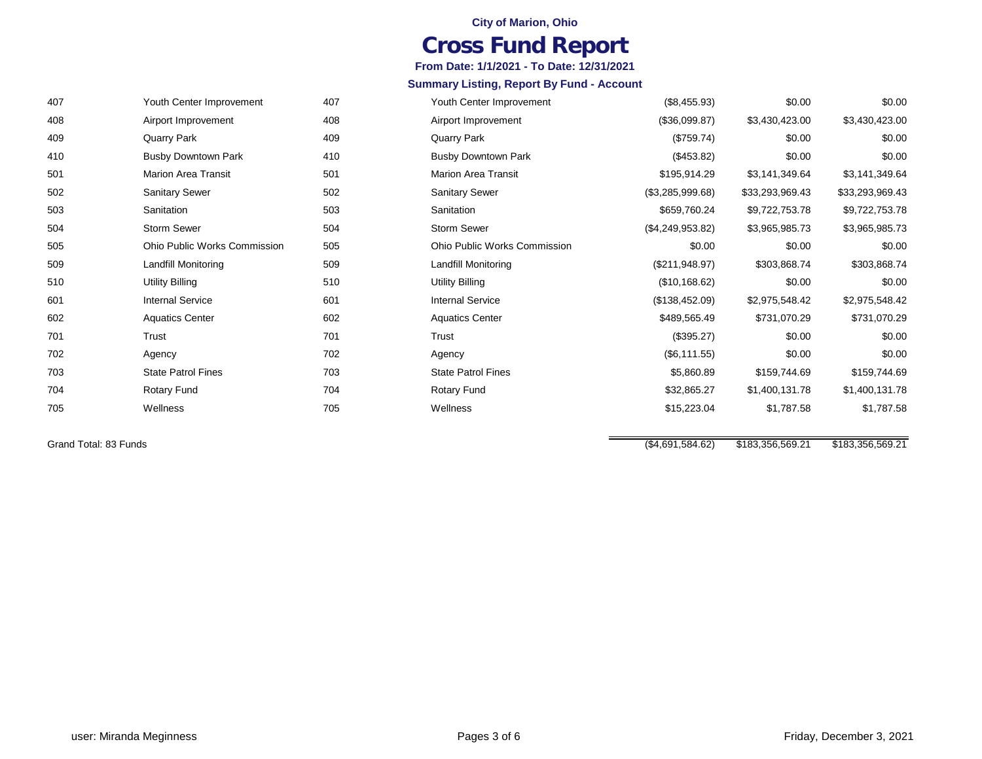#### **City of Marion, Ohio**

## **Cross Fund Report**

**From Date: 1/1/2021 - To Date: 12/31/2021**

#### **Summary Listing, Report By Fund - Account**

| 407 | Youth Center Improvement            | (\$8,455.93)     | \$0.00          | \$0.00          |
|-----|-------------------------------------|------------------|-----------------|-----------------|
| 408 | Airport Improvement                 | (\$36,099.87)    | \$3,430,423.00  | \$3,430,423.00  |
| 409 | Quarry Park                         | (\$759.74)       | \$0.00          | \$0.00          |
| 410 | <b>Busby Downtown Park</b>          | (\$453.82)       | \$0.00          | \$0.00          |
| 501 | <b>Marion Area Transit</b>          | \$195,914.29     | \$3,141,349.64  | \$3,141,349.64  |
| 502 | Sanitary Sewer                      | (\$3,285,999.68) | \$33,293,969.43 | \$33,293,969.43 |
| 503 | Sanitation                          | \$659,760.24     | \$9,722,753.78  | \$9,722,753.78  |
| 504 | <b>Storm Sewer</b>                  | (\$4,249,953.82) | \$3,965,985.73  | \$3,965,985.73  |
| 505 | <b>Ohio Public Works Commission</b> | \$0.00           | \$0.00          | \$0.00          |
| 509 | Landfill Monitoring                 | (\$211,948.97)   | \$303,868.74    | \$303,868.74    |
| 510 | <b>Utility Billing</b>              | (\$10,168.62)    | \$0.00          | \$0.00          |
| 601 | <b>Internal Service</b>             | (\$138,452.09)   | \$2,975,548.42  | \$2,975,548.42  |
| 602 | <b>Aquatics Center</b>              | \$489,565.49     | \$731,070.29    | \$731,070.29    |
| 701 | Trust                               | (\$395.27)       | \$0.00          | \$0.00          |
| 702 | Agency                              | (\$6, 111.55)    | \$0.00          | \$0.00          |
| 703 | <b>State Patrol Fines</b>           | \$5,860.89       | \$159,744.69    | \$159,744.69    |
| 704 | <b>Rotary Fund</b>                  | \$32,865.27      | \$1,400,131.78  | \$1,400,131.78  |
| 705 | Wellness                            | \$15,223.04      | \$1,787.58      | \$1,787.58      |
|     |                                     |                  |                 |                 |

Grand Total: 83 Funds

Youth Center Improvement

 Marion Area Transit Sanitary Sewer Sanitation

Busby Downtown Park

Ohio Public Works Commission

Airport Improvement

Quarry Park

 Utility Billing Internal Service Aquatics Center

 Trust Agency

 Rotary Fund Wellness

State Patrol Fines

Landfill Monitoring

Storm Sewer

(\$4,691,584.62) \$183,356,569.21 \$183,356,569.21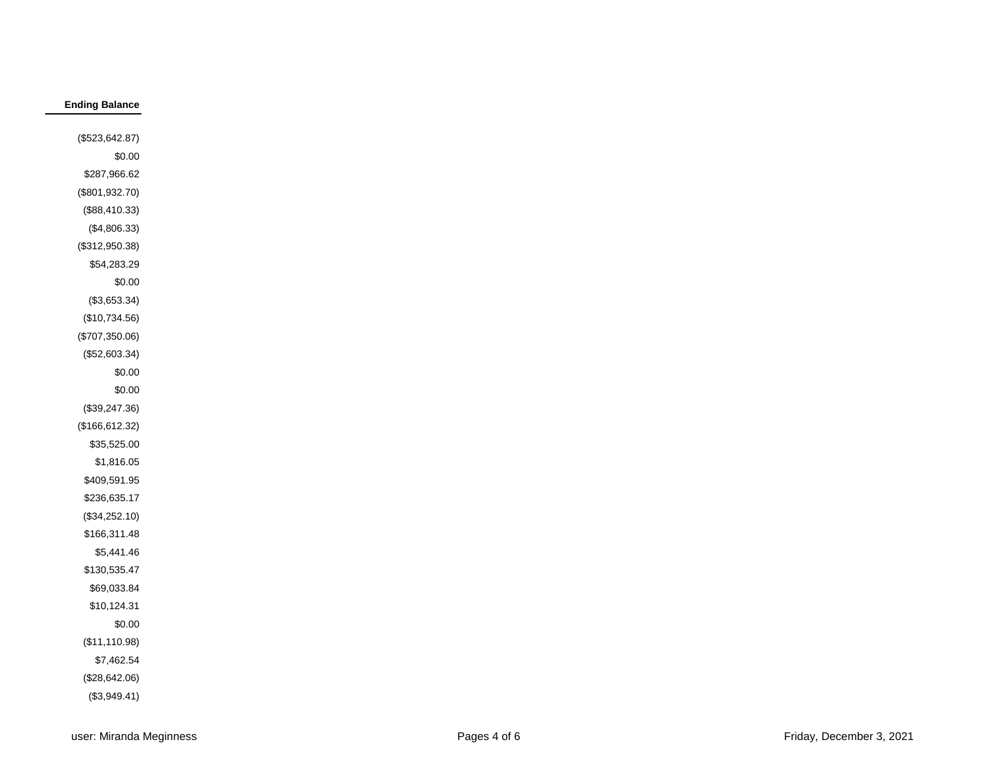### **Ending Balance**

| (\$523,642.87)  |
|-----------------|
| \$0.00          |
| \$287,966.62    |
| (\$801,932.70)  |
| (\$88,410.33)   |
| $(\$4,806.33)$  |
| (\$312,950.38)  |
| \$54,283.29     |
| \$0.00          |
| (\$3,653.34)    |
| (\$10,734.56)   |
| (\$707,350.06)  |
| (\$52,603.34)   |
| \$0.00          |
| \$0.00          |
| (\$39,247.36)   |
| (\$166, 612.32) |
| \$35,525.00     |
| \$1,816.05      |
| \$409,591.95    |
| \$236,635.17    |
| (\$34,252.10)   |
| \$166,311.48    |
| \$5,441.46      |
| \$130,535.47    |
| \$69,033.84     |
| \$10,124.31     |
| \$0.00          |
| (\$11,110.98)   |
| \$7,462.54      |
| (\$28,642.06)   |
| (\$3,949.41)    |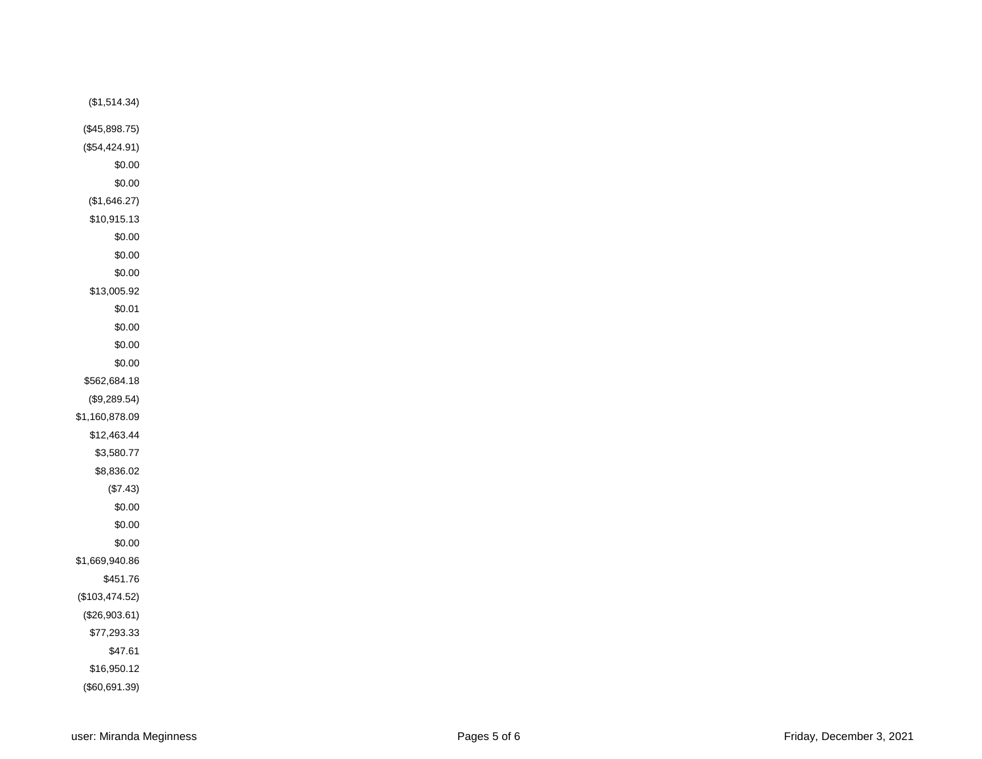| (\$1,514.34)   |
|----------------|
| (\$45,898.75)  |
| (\$54,424.91)  |
| \$0.00         |
| \$0.00         |
| (\$1,646.27)   |
| \$10,915.13    |
| \$0.00         |
| \$0.00         |
| \$0.00         |
| \$13,005.92    |
| \$0.01         |
| \$0.00         |
| \$0.00         |
| \$0.00         |
| \$562,684.18   |
| (\$9,289.54)   |
| \$1,160,878.09 |
| \$12,463.44    |
| \$3,580.77     |
| \$8,836.02     |
| $(\$7.43)$     |
| \$0.00         |
| \$0.00         |
| \$0.00         |
| \$1,669,940.86 |
| \$451.76       |
| (\$103,474.52) |
| (\$26,903.61)  |
| \$77,293.33    |
| \$47.61        |
| \$16,950.12    |
| (\$60,691.39)  |